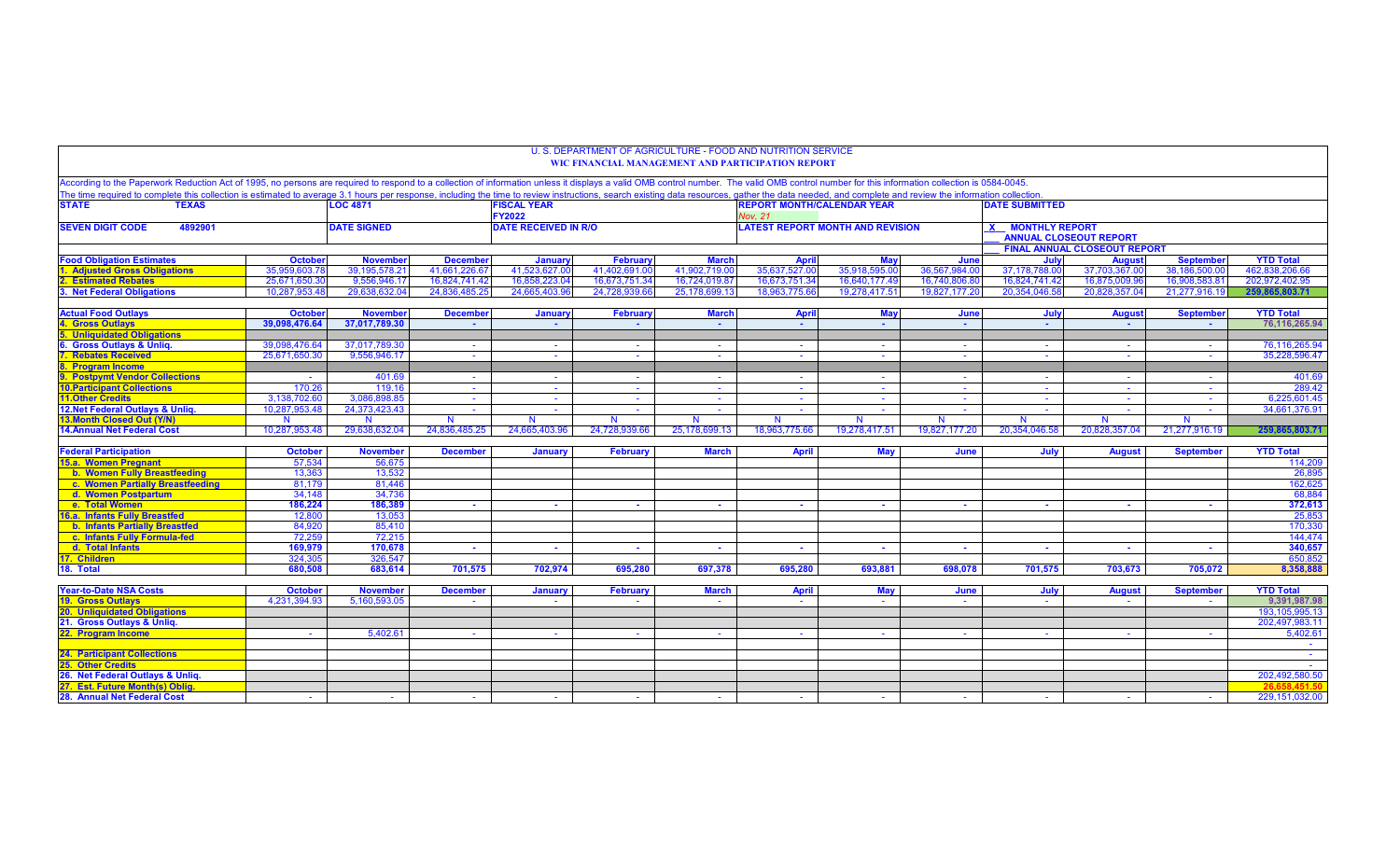| According to the Paperwork Reduction Act of 1995, no persons are required to respond to a collection of information unless it displays a valid OMB control number. The valid OMB control number for this information collectio<br>The time required to complete this collection is estimated to average 3.1 hours per response, including the time to review instructions, search existing data resources, gather the data needed, and complete and review the i<br><b>FISCAL YEAR</b><br><b>REPORT MONTH/CALENDAR YEAR</b><br><b>STATE</b><br><b>TEXAS</b><br><b>LOC 4871</b><br><b>DATE SUBMITTED</b><br><b>FY2022</b><br><b>Nov. 21</b><br><b>LATEST REPORT MONTH AND REVISION</b><br><b>SEVEN DIGIT CODE</b><br><b>DATE SIGNED</b><br><b>DATE RECEIVED IN R/O</b><br><b>X MONTHLY REPORT</b><br>4892901<br><b>ANNUAL CLOSEOUT REPORT</b><br><b>FINAL ANNUAL CLOSEOUT REPORT</b><br><b>Food Obligation Estimates</b><br><b>October</b><br><b>November</b><br><b>December</b><br>Februan<br>July<br><b>September</b><br><b>YTD Total</b><br>January<br><b>March</b><br><b>April</b><br>May<br>June<br><b>August</b><br>35,918,595.00<br><b>Adjusted Gross Obligations</b><br>35,959,603.78<br>39, 195, 578.21<br>41.661.226.67<br>41,523,627.00<br>41.402.691.00<br>41.902.719.00<br>35,637,527.00<br>36.567.984.00<br>37,178,788.00<br>37,703,367.00<br>38,186,500.0<br>462.838.206.66<br>2. Estimated Rebates<br>25.671.650.3<br>9.556.946.17<br>16.824.741.42<br>16.858.223.04<br>16.673.751.34<br>16.724.019.87<br>16.673.751.34<br>16.640.177.49<br>16.740.806.80<br>16.824.741.42<br>16.875.009.96<br>16.908.583.8<br>202.972.402.95<br>3. Net Federal Obligations<br>29.638.632.04<br>24.836.485.25<br>24.665.403.9<br>24,728,939.66<br>25,178,699.13<br>18.963.775.66<br>19.278.417.51<br>19.827.177.20<br>20,354,046.58<br>21,277,916.19<br>10.287.953.48<br>20.828.357.04<br>259.865.803.71<br><b>Actual Food Outlays</b><br><b>October</b><br><b>November</b><br><b>December</b><br>Januan<br>Februar<br><b>March</b><br><b>May</b><br>June<br>July<br><b>September</b><br><b>April</b><br><b>August</b> | U. S. DEPARTMENT OF AGRICULTURE - FOOD AND NUTRITION SERVICE<br><b>WIC FINANCIAL MANAGEMENT AND PARTICIPATION REPORT</b> |  |  |        |        |        |               |               |                                |  |  |  |  |  |
|-----------------------------------------------------------------------------------------------------------------------------------------------------------------------------------------------------------------------------------------------------------------------------------------------------------------------------------------------------------------------------------------------------------------------------------------------------------------------------------------------------------------------------------------------------------------------------------------------------------------------------------------------------------------------------------------------------------------------------------------------------------------------------------------------------------------------------------------------------------------------------------------------------------------------------------------------------------------------------------------------------------------------------------------------------------------------------------------------------------------------------------------------------------------------------------------------------------------------------------------------------------------------------------------------------------------------------------------------------------------------------------------------------------------------------------------------------------------------------------------------------------------------------------------------------------------------------------------------------------------------------------------------------------------------------------------------------------------------------------------------------------------------------------------------------------------------------------------------------------------------------------------------------------------------------------------------------------------------------------------------------------------------------------------------------------------------------------------------------------------------|--------------------------------------------------------------------------------------------------------------------------|--|--|--------|--------|--------|---------------|---------------|--------------------------------|--|--|--|--|--|
|                                                                                                                                                                                                                                                                                                                                                                                                                                                                                                                                                                                                                                                                                                                                                                                                                                                                                                                                                                                                                                                                                                                                                                                                                                                                                                                                                                                                                                                                                                                                                                                                                                                                                                                                                                                                                                                                                                                                                                                                                                                                                                                       |                                                                                                                          |  |  |        |        |        |               |               |                                |  |  |  |  |  |
|                                                                                                                                                                                                                                                                                                                                                                                                                                                                                                                                                                                                                                                                                                                                                                                                                                                                                                                                                                                                                                                                                                                                                                                                                                                                                                                                                                                                                                                                                                                                                                                                                                                                                                                                                                                                                                                                                                                                                                                                                                                                                                                       |                                                                                                                          |  |  |        |        |        |               |               |                                |  |  |  |  |  |
|                                                                                                                                                                                                                                                                                                                                                                                                                                                                                                                                                                                                                                                                                                                                                                                                                                                                                                                                                                                                                                                                                                                                                                                                                                                                                                                                                                                                                                                                                                                                                                                                                                                                                                                                                                                                                                                                                                                                                                                                                                                                                                                       |                                                                                                                          |  |  |        |        |        |               |               |                                |  |  |  |  |  |
|                                                                                                                                                                                                                                                                                                                                                                                                                                                                                                                                                                                                                                                                                                                                                                                                                                                                                                                                                                                                                                                                                                                                                                                                                                                                                                                                                                                                                                                                                                                                                                                                                                                                                                                                                                                                                                                                                                                                                                                                                                                                                                                       |                                                                                                                          |  |  |        |        |        |               |               |                                |  |  |  |  |  |
|                                                                                                                                                                                                                                                                                                                                                                                                                                                                                                                                                                                                                                                                                                                                                                                                                                                                                                                                                                                                                                                                                                                                                                                                                                                                                                                                                                                                                                                                                                                                                                                                                                                                                                                                                                                                                                                                                                                                                                                                                                                                                                                       |                                                                                                                          |  |  |        |        |        |               |               |                                |  |  |  |  |  |
|                                                                                                                                                                                                                                                                                                                                                                                                                                                                                                                                                                                                                                                                                                                                                                                                                                                                                                                                                                                                                                                                                                                                                                                                                                                                                                                                                                                                                                                                                                                                                                                                                                                                                                                                                                                                                                                                                                                                                                                                                                                                                                                       |                                                                                                                          |  |  |        |        |        |               |               |                                |  |  |  |  |  |
|                                                                                                                                                                                                                                                                                                                                                                                                                                                                                                                                                                                                                                                                                                                                                                                                                                                                                                                                                                                                                                                                                                                                                                                                                                                                                                                                                                                                                                                                                                                                                                                                                                                                                                                                                                                                                                                                                                                                                                                                                                                                                                                       |                                                                                                                          |  |  |        |        |        |               |               |                                |  |  |  |  |  |
|                                                                                                                                                                                                                                                                                                                                                                                                                                                                                                                                                                                                                                                                                                                                                                                                                                                                                                                                                                                                                                                                                                                                                                                                                                                                                                                                                                                                                                                                                                                                                                                                                                                                                                                                                                                                                                                                                                                                                                                                                                                                                                                       |                                                                                                                          |  |  |        |        |        |               |               |                                |  |  |  |  |  |
|                                                                                                                                                                                                                                                                                                                                                                                                                                                                                                                                                                                                                                                                                                                                                                                                                                                                                                                                                                                                                                                                                                                                                                                                                                                                                                                                                                                                                                                                                                                                                                                                                                                                                                                                                                                                                                                                                                                                                                                                                                                                                                                       | <b>YTD Total</b>                                                                                                         |  |  |        |        |        |               |               |                                |  |  |  |  |  |
|                                                                                                                                                                                                                                                                                                                                                                                                                                                                                                                                                                                                                                                                                                                                                                                                                                                                                                                                                                                                                                                                                                                                                                                                                                                                                                                                                                                                                                                                                                                                                                                                                                                                                                                                                                                                                                                                                                                                                                                                                                                                                                                       | 76,116,265.94<br>$\sim$<br>$\sim$<br>$\sim$<br>$\sim$<br>$\sim$<br><b>College</b>                                        |  |  | $\sim$ | $\sim$ | $\sim$ | 37,017,789.30 | 39,098,476.64 | <b>4. Gross Outlays</b>        |  |  |  |  |  |
| <b>5. Unliquidated Obligations</b>                                                                                                                                                                                                                                                                                                                                                                                                                                                                                                                                                                                                                                                                                                                                                                                                                                                                                                                                                                                                                                                                                                                                                                                                                                                                                                                                                                                                                                                                                                                                                                                                                                                                                                                                                                                                                                                                                                                                                                                                                                                                                    |                                                                                                                          |  |  |        |        |        |               |               |                                |  |  |  |  |  |
| 6. Gross Outlays & Unliq.<br>39,098,476.64<br>37.017.789.30<br>$\sim$<br>$\sim$<br>$\sim$<br>$\sim$<br>$\sim$<br>$\sim$<br>$\sim$<br>$\sim$<br>$\sim$<br>$\sim$                                                                                                                                                                                                                                                                                                                                                                                                                                                                                                                                                                                                                                                                                                                                                                                                                                                                                                                                                                                                                                                                                                                                                                                                                                                                                                                                                                                                                                                                                                                                                                                                                                                                                                                                                                                                                                                                                                                                                       | 76,116,265.94                                                                                                            |  |  |        |        |        |               |               |                                |  |  |  |  |  |
| <b>Rebates Received</b><br>9.556.946.17<br>25.671.650.30<br>$\sim$<br>$\sim$<br>$\sim$<br>$\sim$<br>$\sim$<br>$\sim$<br>$\sim$                                                                                                                                                                                                                                                                                                                                                                                                                                                                                                                                                                                                                                                                                                                                                                                                                                                                                                                                                                                                                                                                                                                                                                                                                                                                                                                                                                                                                                                                                                                                                                                                                                                                                                                                                                                                                                                                                                                                                                                        | 35.228.596.47                                                                                                            |  |  |        |        |        |               |               |                                |  |  |  |  |  |
| 8. Program Income                                                                                                                                                                                                                                                                                                                                                                                                                                                                                                                                                                                                                                                                                                                                                                                                                                                                                                                                                                                                                                                                                                                                                                                                                                                                                                                                                                                                                                                                                                                                                                                                                                                                                                                                                                                                                                                                                                                                                                                                                                                                                                     |                                                                                                                          |  |  |        |        |        |               |               |                                |  |  |  |  |  |
| 9. Postpymt Vendor Collections<br>401.69<br>$\sim$<br>$\sim$<br>$\sim$<br><b>Section</b><br>$\sim$<br>$\sim$<br>$\sim$<br>$\sim$<br><b>Section</b><br><b>Section</b><br>$\sim$                                                                                                                                                                                                                                                                                                                                                                                                                                                                                                                                                                                                                                                                                                                                                                                                                                                                                                                                                                                                                                                                                                                                                                                                                                                                                                                                                                                                                                                                                                                                                                                                                                                                                                                                                                                                                                                                                                                                        | 401.69                                                                                                                   |  |  |        |        |        |               |               |                                |  |  |  |  |  |
| <b>10. Participant Collections</b><br>170.26<br>119.16<br>$\sim$ $-$<br>$\sim$<br>$\sim$<br>$\sim$<br>$\sim$<br>$\sim$ $-$<br>$\sim$ $-$<br>$\sim 10^{-1}$<br>$\sim 10$<br>$\sim$ $-$                                                                                                                                                                                                                                                                                                                                                                                                                                                                                                                                                                                                                                                                                                                                                                                                                                                                                                                                                                                                                                                                                                                                                                                                                                                                                                                                                                                                                                                                                                                                                                                                                                                                                                                                                                                                                                                                                                                                 | 289.42                                                                                                                   |  |  |        |        |        |               |               |                                |  |  |  |  |  |
| <b>11.Other Credits</b><br>3.086.898.85<br>3.138.702.60<br>$\sim$<br>$\sim$<br>$\sim$ 10 $\pm$<br>$\sim$<br>$\sim$<br>$\sim$<br>$\sim$<br>$\sim$<br>$\sim$<br>$\sim$                                                                                                                                                                                                                                                                                                                                                                                                                                                                                                                                                                                                                                                                                                                                                                                                                                                                                                                                                                                                                                                                                                                                                                                                                                                                                                                                                                                                                                                                                                                                                                                                                                                                                                                                                                                                                                                                                                                                                  | 6,225,601.45                                                                                                             |  |  |        |        |        |               |               |                                |  |  |  |  |  |
| 12. Net Federal Outlays & Unlig.<br>24.373.423.43<br>10.287.953.48<br>$\sim$<br>$\sim$ 10 $\pm$<br>$\sim$<br>$\sim$<br><b>Section</b><br><b>Section</b><br>$\sim$<br><b>College</b><br><b>College</b><br>$\sim$                                                                                                                                                                                                                                                                                                                                                                                                                                                                                                                                                                                                                                                                                                                                                                                                                                                                                                                                                                                                                                                                                                                                                                                                                                                                                                                                                                                                                                                                                                                                                                                                                                                                                                                                                                                                                                                                                                       | 34.661.376.91                                                                                                            |  |  |        |        |        |               |               |                                |  |  |  |  |  |
| 13. Month Closed Out (Y/N)<br>N<br>N<br>N<br>$\mathsf{N}$<br>$\mathbf N$<br><b>N</b><br><b>N</b><br>N<br><b>N</b><br>N                                                                                                                                                                                                                                                                                                                                                                                                                                                                                                                                                                                                                                                                                                                                                                                                                                                                                                                                                                                                                                                                                                                                                                                                                                                                                                                                                                                                                                                                                                                                                                                                                                                                                                                                                                                                                                                                                                                                                                                                |                                                                                                                          |  |  |        |        |        |               |               |                                |  |  |  |  |  |
| <b>14.Annual Net Federal Cost</b><br>10,287,953.48<br>29,638,632.04<br>24,836,485.25<br>24,665,403.96<br>25,178,699.13<br>19,278,417.51<br>19,827,177.20<br>20,354,046.58<br>20,828,357.04<br>21,277,916.19<br>24,728,939.66<br>18,963,775.66                                                                                                                                                                                                                                                                                                                                                                                                                                                                                                                                                                                                                                                                                                                                                                                                                                                                                                                                                                                                                                                                                                                                                                                                                                                                                                                                                                                                                                                                                                                                                                                                                                                                                                                                                                                                                                                                         | 259,865,803.71                                                                                                           |  |  |        |        |        |               |               |                                |  |  |  |  |  |
| <b>Federal Participation</b><br><b>October</b><br><b>November</b><br><b>December</b><br><b>February</b><br><b>March</b><br><b>May</b><br><b>January</b><br><b>April</b><br>June<br>July<br><b>August</b><br><b>September</b>                                                                                                                                                                                                                                                                                                                                                                                                                                                                                                                                                                                                                                                                                                                                                                                                                                                                                                                                                                                                                                                                                                                                                                                                                                                                                                                                                                                                                                                                                                                                                                                                                                                                                                                                                                                                                                                                                          | <b>YTD Total</b>                                                                                                         |  |  |        |        |        |               |               |                                |  |  |  |  |  |
| 57.534<br>15.a. Women Pregnant<br>56.675                                                                                                                                                                                                                                                                                                                                                                                                                                                                                                                                                                                                                                                                                                                                                                                                                                                                                                                                                                                                                                                                                                                                                                                                                                                                                                                                                                                                                                                                                                                                                                                                                                                                                                                                                                                                                                                                                                                                                                                                                                                                              | 114,209                                                                                                                  |  |  |        |        |        |               |               |                                |  |  |  |  |  |
| b. Women Fully Breastfeeding<br>13,532<br>13,363                                                                                                                                                                                                                                                                                                                                                                                                                                                                                                                                                                                                                                                                                                                                                                                                                                                                                                                                                                                                                                                                                                                                                                                                                                                                                                                                                                                                                                                                                                                                                                                                                                                                                                                                                                                                                                                                                                                                                                                                                                                                      | 26,895                                                                                                                   |  |  |        |        |        |               |               |                                |  |  |  |  |  |
| c. Women Partially Breastfeeding<br>81.446<br>81.179                                                                                                                                                                                                                                                                                                                                                                                                                                                                                                                                                                                                                                                                                                                                                                                                                                                                                                                                                                                                                                                                                                                                                                                                                                                                                                                                                                                                                                                                                                                                                                                                                                                                                                                                                                                                                                                                                                                                                                                                                                                                  | 162.625                                                                                                                  |  |  |        |        |        |               |               |                                |  |  |  |  |  |
| 34,148<br>34,736<br>d. Women Postpartum                                                                                                                                                                                                                                                                                                                                                                                                                                                                                                                                                                                                                                                                                                                                                                                                                                                                                                                                                                                                                                                                                                                                                                                                                                                                                                                                                                                                                                                                                                                                                                                                                                                                                                                                                                                                                                                                                                                                                                                                                                                                               | 68,884                                                                                                                   |  |  |        |        |        |               |               |                                |  |  |  |  |  |
| 186,224<br>186,389<br>e. Total Women<br>$\sim$<br>. .                                                                                                                                                                                                                                                                                                                                                                                                                                                                                                                                                                                                                                                                                                                                                                                                                                                                                                                                                                                                                                                                                                                                                                                                                                                                                                                                                                                                                                                                                                                                                                                                                                                                                                                                                                                                                                                                                                                                                                                                                                                                 | 372,613                                                                                                                  |  |  |        |        |        |               |               |                                |  |  |  |  |  |
| 16.a. Infants Fully Breastfed<br>12,800<br>13.053                                                                                                                                                                                                                                                                                                                                                                                                                                                                                                                                                                                                                                                                                                                                                                                                                                                                                                                                                                                                                                                                                                                                                                                                                                                                                                                                                                                                                                                                                                                                                                                                                                                                                                                                                                                                                                                                                                                                                                                                                                                                     | 25.853                                                                                                                   |  |  |        |        |        |               |               |                                |  |  |  |  |  |
| 85,410<br><b>b. Infants Partially Breastfed</b><br>84,920                                                                                                                                                                                                                                                                                                                                                                                                                                                                                                                                                                                                                                                                                                                                                                                                                                                                                                                                                                                                                                                                                                                                                                                                                                                                                                                                                                                                                                                                                                                                                                                                                                                                                                                                                                                                                                                                                                                                                                                                                                                             | 170,330                                                                                                                  |  |  |        |        |        |               |               |                                |  |  |  |  |  |
| c. Infants Fully Formula-fed<br>72.259<br>72.215                                                                                                                                                                                                                                                                                                                                                                                                                                                                                                                                                                                                                                                                                                                                                                                                                                                                                                                                                                                                                                                                                                                                                                                                                                                                                                                                                                                                                                                                                                                                                                                                                                                                                                                                                                                                                                                                                                                                                                                                                                                                      | 144,474                                                                                                                  |  |  |        |        |        |               |               |                                |  |  |  |  |  |
| 169,979<br>170,678<br>d. Total Infants<br><b>A</b><br>$\sim$<br>$\sim$<br><b>A</b><br>$\sim$<br>. .<br>. .<br>$\sim$<br>$\sim$<br>$\sim$                                                                                                                                                                                                                                                                                                                                                                                                                                                                                                                                                                                                                                                                                                                                                                                                                                                                                                                                                                                                                                                                                                                                                                                                                                                                                                                                                                                                                                                                                                                                                                                                                                                                                                                                                                                                                                                                                                                                                                              | 340,657                                                                                                                  |  |  |        |        |        |               |               |                                |  |  |  |  |  |
| 324.305<br>17. Children<br>326.547                                                                                                                                                                                                                                                                                                                                                                                                                                                                                                                                                                                                                                                                                                                                                                                                                                                                                                                                                                                                                                                                                                                                                                                                                                                                                                                                                                                                                                                                                                                                                                                                                                                                                                                                                                                                                                                                                                                                                                                                                                                                                    | 650.852                                                                                                                  |  |  |        |        |        |               |               |                                |  |  |  |  |  |
| 18. Total<br>680.508<br>683,614<br>701,575<br>702.974<br>695,280<br>695,280<br>693,881<br>698.078<br>705,072<br>697,378<br>701,575<br>703,673                                                                                                                                                                                                                                                                                                                                                                                                                                                                                                                                                                                                                                                                                                                                                                                                                                                                                                                                                                                                                                                                                                                                                                                                                                                                                                                                                                                                                                                                                                                                                                                                                                                                                                                                                                                                                                                                                                                                                                         | 8.358.888                                                                                                                |  |  |        |        |        |               |               |                                |  |  |  |  |  |
|                                                                                                                                                                                                                                                                                                                                                                                                                                                                                                                                                                                                                                                                                                                                                                                                                                                                                                                                                                                                                                                                                                                                                                                                                                                                                                                                                                                                                                                                                                                                                                                                                                                                                                                                                                                                                                                                                                                                                                                                                                                                                                                       |                                                                                                                          |  |  |        |        |        |               |               |                                |  |  |  |  |  |
| <b>Year-to-Date NSA Costs</b><br><b>October</b><br><b>November</b><br><b>December</b><br>February<br><b>March</b><br><b>April</b><br>May<br>June<br>July<br><b>August</b><br><b>September</b><br>January                                                                                                                                                                                                                                                                                                                                                                                                                                                                                                                                                                                                                                                                                                                                                                                                                                                                                                                                                                                                                                                                                                                                                                                                                                                                                                                                                                                                                                                                                                                                                                                                                                                                                                                                                                                                                                                                                                              | <b>YTD Total</b>                                                                                                         |  |  |        |        |        |               |               |                                |  |  |  |  |  |
| <b>19. Gross Outlays</b><br>4.231.394.93<br>5,160,593.05<br>$\sim$<br>$\sim$                                                                                                                                                                                                                                                                                                                                                                                                                                                                                                                                                                                                                                                                                                                                                                                                                                                                                                                                                                                                                                                                                                                                                                                                                                                                                                                                                                                                                                                                                                                                                                                                                                                                                                                                                                                                                                                                                                                                                                                                                                          | 9,391,987.98                                                                                                             |  |  |        |        |        |               |               |                                |  |  |  |  |  |
| 20. Unliquidated Obligations                                                                                                                                                                                                                                                                                                                                                                                                                                                                                                                                                                                                                                                                                                                                                                                                                                                                                                                                                                                                                                                                                                                                                                                                                                                                                                                                                                                                                                                                                                                                                                                                                                                                                                                                                                                                                                                                                                                                                                                                                                                                                          | 193.105.995.13                                                                                                           |  |  |        |        |        |               |               |                                |  |  |  |  |  |
| 21. Gross Outlays & Unliq.<br>5,402.61<br>22. Program Income                                                                                                                                                                                                                                                                                                                                                                                                                                                                                                                                                                                                                                                                                                                                                                                                                                                                                                                                                                                                                                                                                                                                                                                                                                                                                                                                                                                                                                                                                                                                                                                                                                                                                                                                                                                                                                                                                                                                                                                                                                                          | 202,497,983.11<br>5,402.61                                                                                               |  |  |        |        |        |               |               |                                |  |  |  |  |  |
| $\sim$<br>$\sim$<br>$\sim$ $-$<br>$\sim$<br>$\sim$<br>$\sim$<br>$\sim$ $-$<br>$\sim$<br>$\sim$<br>$\sim$<br>$\sim$                                                                                                                                                                                                                                                                                                                                                                                                                                                                                                                                                                                                                                                                                                                                                                                                                                                                                                                                                                                                                                                                                                                                                                                                                                                                                                                                                                                                                                                                                                                                                                                                                                                                                                                                                                                                                                                                                                                                                                                                    |                                                                                                                          |  |  |        |        |        |               |               |                                |  |  |  |  |  |
| <b>24. Participant Collections</b>                                                                                                                                                                                                                                                                                                                                                                                                                                                                                                                                                                                                                                                                                                                                                                                                                                                                                                                                                                                                                                                                                                                                                                                                                                                                                                                                                                                                                                                                                                                                                                                                                                                                                                                                                                                                                                                                                                                                                                                                                                                                                    |                                                                                                                          |  |  |        |        |        |               |               |                                |  |  |  |  |  |
| <b>25. Other Credits</b>                                                                                                                                                                                                                                                                                                                                                                                                                                                                                                                                                                                                                                                                                                                                                                                                                                                                                                                                                                                                                                                                                                                                                                                                                                                                                                                                                                                                                                                                                                                                                                                                                                                                                                                                                                                                                                                                                                                                                                                                                                                                                              |                                                                                                                          |  |  |        |        |        |               |               |                                |  |  |  |  |  |
| 26. Net Federal Outlays & Unlig.                                                                                                                                                                                                                                                                                                                                                                                                                                                                                                                                                                                                                                                                                                                                                                                                                                                                                                                                                                                                                                                                                                                                                                                                                                                                                                                                                                                                                                                                                                                                                                                                                                                                                                                                                                                                                                                                                                                                                                                                                                                                                      | 202,492,580.50                                                                                                           |  |  |        |        |        |               |               |                                |  |  |  |  |  |
| 26.658.451.50                                                                                                                                                                                                                                                                                                                                                                                                                                                                                                                                                                                                                                                                                                                                                                                                                                                                                                                                                                                                                                                                                                                                                                                                                                                                                                                                                                                                                                                                                                                                                                                                                                                                                                                                                                                                                                                                                                                                                                                                                                                                                                         |                                                                                                                          |  |  |        |        |        |               |               |                                |  |  |  |  |  |
| 28. Annual Net Federal Cost<br>229,151,032.00<br><b>Section</b><br><b>Section</b><br><b>Card</b><br><b>Section</b><br><b>Section</b><br><b>Section</b><br><b>Section</b><br><b>Section</b><br><b>Section</b><br>$\sim$<br>$\sim$                                                                                                                                                                                                                                                                                                                                                                                                                                                                                                                                                                                                                                                                                                                                                                                                                                                                                                                                                                                                                                                                                                                                                                                                                                                                                                                                                                                                                                                                                                                                                                                                                                                                                                                                                                                                                                                                                      |                                                                                                                          |  |  |        |        |        |               |               | 27. Est. Future Month(s) Oblig |  |  |  |  |  |